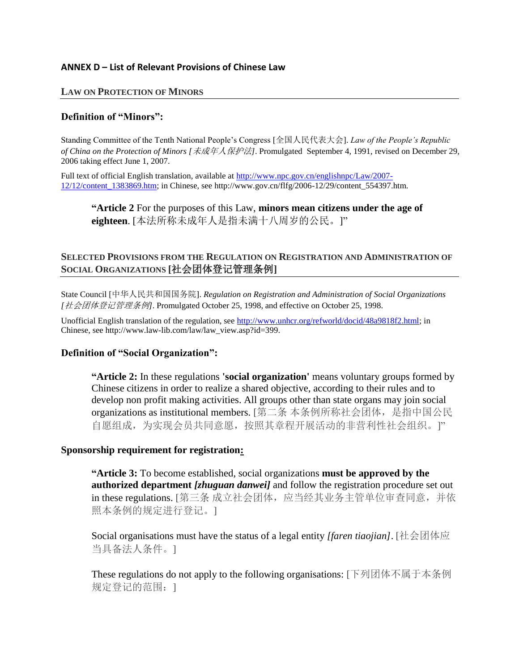## **ANNEX D – List of Relevant Provisions of Chinese Law**

## **LAW ON PROTECTION OF MINORS**

### **Definition of "Minors":**

Standing Committee of the Tenth National People's Congress [全国人民代表大会]. *Law of the People's Republic of China on the Protection of Minors [*未成年人保护法*]*. Promulgated September 4, 1991, revised on December 29, 2006 taking effect June 1, 2007.

Full text of official English translation, available at [http://www.npc.gov.cn/englishnpc/Law/2007-](http://www.npc.gov.cn/englishnpc/Law/2007-12/12/content_1383869.htm) [12/12/content\\_1383869.htm;](http://www.npc.gov.cn/englishnpc/Law/2007-12/12/content_1383869.htm) in Chinese, see http://www.gov.cn/flfg/2006-12/29/content\_554397.htm.

**"Article 2** For the purposes of this Law, **minors mean citizens under the age of eighteen**. [本法所称未成年人是指未满十八周岁的公民。]"

# **SELECTED PROVISIONS FROM THE REGULATION ON REGISTRATION AND ADMINISTRATION OF SOCIAL ORGANIZATIONS [**社会团体登记管理条例**]**

State Council [中华人民共和国国务院]. *Regulation on Registration and Administration of Social Organizations [*社会团体登记管理条例*]*. Promulgated October 25, 1998, and effective on October 25, 1998.

Unofficial English translation of the regulation, see [http://www.unhcr.org/refworld/docid/48a9818f2.html;](http://www.unhcr.org/refworld/docid/48a9818f2.html) in Chinese, see http://www.law-lib.com/law/law\_view.asp?id=399.

#### **Definition of "Social Organization":**

**"Article 2:** In these regulations **'social organization'** means voluntary groups formed by Chinese citizens in order to realize a shared objective, according to their rules and to develop non profit making activities. All groups other than state organs may join social organizations as institutional members. [第二条 本条例所称社会团体,是指中国公民 自愿组成,为实现会员共同意愿,按照其章程开展活动的非营利性社会组织。]"

#### **Sponsorship requirement for registration:**

**"Article 3:** To become established, social organizations **must be approved by the authorized department** *[zhuguan danwei]* and follow the registration procedure set out in these regulations. [第三条 成立社会团体, 应当经其业务主管单位审查同意, 并依 照本条例的规定进行登记。]

Social organisations must have the status of a legal entity *[faren tiaojian]*. [社会团体应 当具备法人条件。]

These regulations do not apply to the following organisations: [下列团体不属于本条例 规定登记的范围:]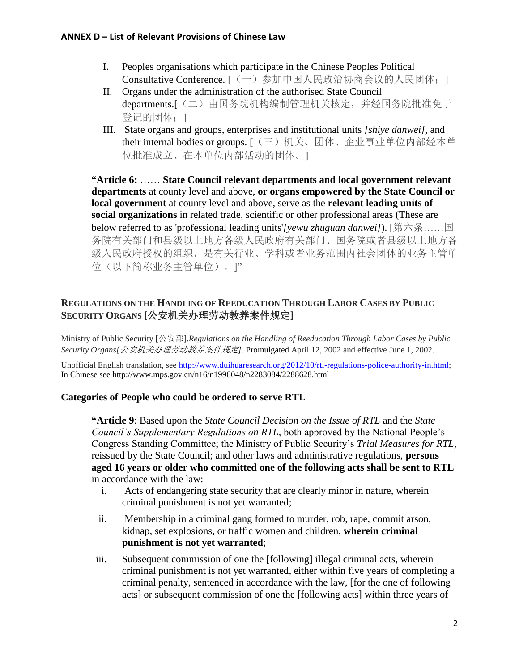- I. Peoples organisations which participate in the Chinese Peoples Political Consultative Conference. [(一)参加中国人民政治协商会议的人民团体; ]
- II. Organs under the administration of the authorised State Council departments.[(二)由国务院机构编制管理机关核定,并经国务院批准免于 登记的团体: 1
- III. State organs and groups, enterprises and institutional units *[shiye danwei]*, and their internal bodies or groups. [(三)机关、团体、企业事业单位内部经本单 位批准成立、在本单位内部活动的团体。]

**"Article 6:** …… **State Council relevant departments and local government relevant departments** at county level and above, **or organs empowered by the State Council or local government** at county level and above, serve as the **relevant leading units of social organizations** in related trade, scientific or other professional areas (These are below referred to as 'professional leading units'*[yewu zhuguan danwei]*). [第六条……国 务院有关部门和县级以上地方各级人民政府有关部门、国务院或者县级以上地方各 级人民政府授权的组织,是有关行业、学科或者业务范围内社会团体的业务主管单 位(以下简称业务主管单位)。]"

# **REGULATIONS ON THE HANDLING OF REEDUCATION THROUGH LABOR CASES BY PUBLIC SECURITY ORGANS [**公安机关办理劳动教养案件规定**]**

Ministry of Public Security [公安部].*Regulations on the Handling of Reeducation Through Labor Cases by Public Security Organs[*公安机关办理劳动教养案件规定*].* Promulgated April 12, 2002 and effective June 1, 2002.

Unofficial English translation, see [http://www.duihuaresearch.org/2012/10/rtl-regulations-police-authority-in.html;](http://www.duihuaresearch.org/2012/10/rtl-regulations-police-authority-in.html) In Chinese see http://www.mps.gov.cn/n16/n1996048/n2283084/2288628.html

# **Categories of People who could be ordered to serve RTL**

**"Article 9**: Based upon the *State Council Decision on the Issue of RTL* and the *State Council's Supplementary Regulations on RTL*, both approved by the National People's Congress Standing Committee; the Ministry of Public Security's *Trial Measures for RTL*, reissued by the State Council; and other laws and administrative regulations, **persons aged 16 years or older who committed one of the following acts shall be sent to RTL** in accordance with the law:

- i. Acts of endangering state security that are clearly minor in nature, wherein criminal punishment is not yet warranted;
- ii. Membership in a criminal gang formed to murder, rob, rape, commit arson, kidnap, set explosions, or traffic women and children, **wherein criminal punishment is not yet warranted**;
- iii. Subsequent commission of one the [following] illegal criminal acts, wherein criminal punishment is not yet warranted, either within five years of completing a criminal penalty, sentenced in accordance with the law, [for the one of following acts] or subsequent commission of one the [following acts] within three years of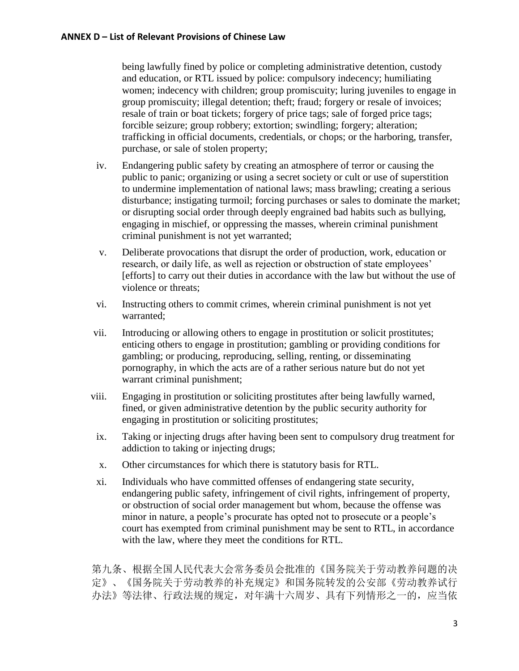being lawfully fined by police or completing administrative detention, custody and education, or RTL issued by police: compulsory indecency; humiliating women; indecency with children; group promiscuity; luring juveniles to engage in group promiscuity; illegal detention; theft; fraud; forgery or resale of invoices; resale of train or boat tickets; forgery of price tags; sale of forged price tags; forcible seizure; group robbery; extortion; swindling; forgery; alteration; trafficking in official documents, credentials, or chops; or the harboring, transfer, purchase, or sale of stolen property;

- iv. Endangering public safety by creating an atmosphere of terror or causing the public to panic; organizing or using a secret society or cult or use of superstition to undermine implementation of national laws; mass brawling; creating a serious disturbance; instigating turmoil; forcing purchases or sales to dominate the market; or disrupting social order through deeply engrained bad habits such as bullying, engaging in mischief, or oppressing the masses, wherein criminal punishment criminal punishment is not yet warranted;
- v. Deliberate provocations that disrupt the order of production, work, education or research, or daily life, as well as rejection or obstruction of state employees' [efforts] to carry out their duties in accordance with the law but without the use of violence or threats;
- vi. Instructing others to commit crimes, wherein criminal punishment is not yet warranted;
- vii. Introducing or allowing others to engage in prostitution or solicit prostitutes; enticing others to engage in prostitution; gambling or providing conditions for gambling; or producing, reproducing, selling, renting, or disseminating pornography, in which the acts are of a rather serious nature but do not yet warrant criminal punishment;
- viii. Engaging in prostitution or soliciting prostitutes after being lawfully warned, fined, or given administrative detention by the public security authority for engaging in prostitution or soliciting prostitutes;
- ix. Taking or injecting drugs after having been sent to compulsory drug treatment for addiction to taking or injecting drugs;
- x. Other circumstances for which there is statutory basis for RTL.
- xi. Individuals who have committed offenses of endangering state security, endangering public safety, infringement of civil rights, infringement of property, or obstruction of social order management but whom, because the offense was minor in nature, a people's procurate has opted not to prosecute or a people's court has exempted from criminal punishment may be sent to RTL, in accordance with the law, where they meet the conditions for RTL.

第九条、根据全国人民代表大会常务委员会批准的《国务院关于劳动教养问题的决 定》、《国务院关于劳动教养的补充规定》和国务院转发的公安部《劳动教养试行 办法》等法律、行政法规的规定,对年满十六周岁、具有下列情形之一的,应当依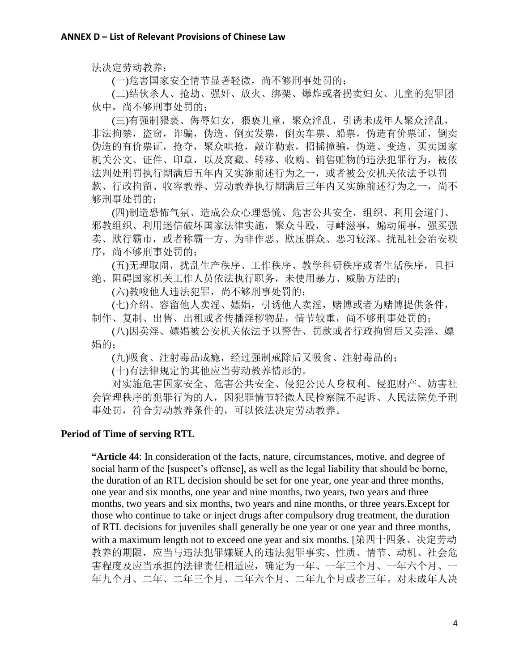法决定劳动教养:

(一)危害国家安全情节显著轻微,尚不够刑事处罚的;

 (二)结伙杀人、抢劫、强奸、放火、绑架、爆炸或者拐卖妇女、儿童的犯罪团 伙中,尚不够刑事处罚的;

 (三)有强制猥亵、侮辱妇女,猥亵儿童,聚众淫乱,引诱未成年人聚众淫乱, 非法拘禁,盗窃,诈骗,伪造、倒卖发票,倒卖车票、船票,伪造有价票证,倒卖 伪造的有价票证,抢夺,聚众哄抢,敲诈勒索,招摇撞骗,伪造、变造、买卖国家 机关公文、证件、印章,以及窝藏、转移、收购、销售赃物的违法犯罪行为,被依 法判处刑罚执行期满后五年内又实施前述行为之一,或者被公安机关依法予以罚 款、行政拘留、收容教养、劳动教养执行期满后三年内又实施前述行为之一,尚不 够刑事处罚的;

 (四)制造恐怖气氛、造成公众心理恐慌、危害公共安全,组织、利用会道门、 邪教组织、利用迷信破坏国家法律实施, 聚众斗殴, 寻衅滋事, 煽动闹事, 强买强 卖、欺行霸市,或者称霸一方、为非作恶、欺压群众、恶习较深、扰乱社会治安秩 序,尚不够刑事处罚的;

 (五)无理取闹,扰乱生产秩序、工作秩序、教学科研秩序或者生活秩序,且拒 绝、阻碍国家机关工作人员依法执行职务,未使用暴力、威胁方法的;

(六)教唆他人违法犯罪,尚不够刑事处罚的;

 (七)介绍、容留他人卖淫、嫖娼,引诱他人卖淫,赌博或者为赌博提供条件, 制作、复制、出售、出租或者传播淫秽物品,情节较重,尚不够刑事处罚的;

 (八)因卖淫、嫖娼被公安机关依法予以警告、罚款或者行政拘留后又卖淫、嫖 娼的;

(九)吸食、注射毒品成瘾,经过强制戒除后又吸食、注射毒品的;

(十)有法律规定的其他应当劳动教养情形的。

 对实施危害国家安全、危害公共安全、侵犯公民人身权利、侵犯财产、妨害社 会管理秩序的犯罪行为的人,因犯罪情节轻微人民检察院不起诉、人民法院免予刑 事处罚,符合劳动教养条件的,可以依法决定劳动教养。

## **Period of Time of serving RTL**

**"Article 44**: In consideration of the facts, nature, circumstances, motive, and degree of social harm of the [suspect's offense], as well as the legal liability that should be borne, the duration of an RTL decision should be set for one year, one year and three months, one year and six months, one year and nine months, two years, two years and three months, two years and six months, two years and nine months, or three years.Except for those who continue to take or inject drugs after compulsory drug treatment, the duration of RTL decisions for juveniles shall generally be one year or one year and three months, with a maximum length not to exceed one year and six months. [第四十四条、决定劳动 教养的期限,应当与违法犯罪嫌疑人的违法犯罪事实、性质、情节、动机、社会危 害程度及应当承担的法律责任相适应,确定为一年、一年三个月、一年六个月、一 年九个月、二年、二年三个月、二年六个月、二年九个月或者三年。对未成年人决